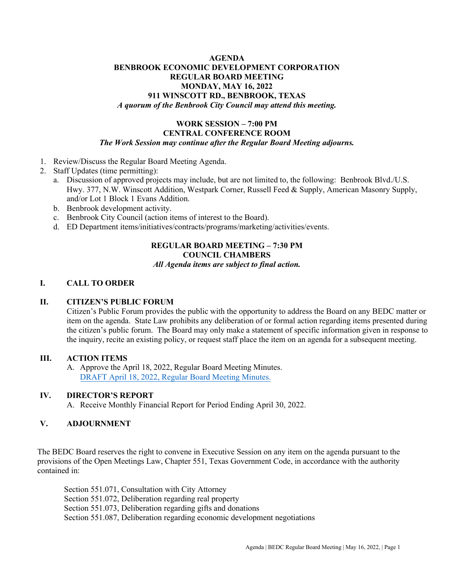#### **AGENDA BENBROOK ECONOMIC DEVELOPMENT CORPORATION REGULAR BOARD MEETING MONDAY, MAY 16, 2022 911 WINSCOTT RD., BENBROOK, TEXAS** *A quorum of the Benbrook City Council may attend this meeting.*

#### **WORK SESSION – 7:00 PM CENTRAL CONFERENCE ROOM** *The Work Session may continue after the Regular Board Meeting adjourns.*

- 1. Review/Discuss the Regular Board Meeting Agenda.
- 2. Staff Updates (time permitting):
	- a. Discussion of approved projects may include, but are not limited to, the following: Benbrook Blvd./U.S. Hwy. 377, N.W. Winscott Addition, Westpark Corner, Russell Feed & Supply, American Masonry Supply, and/or Lot 1 Block 1 Evans Addition.
	- b. Benbrook development activity.
	- c. Benbrook City Council (action items of interest to the Board).
	- d. ED Department items/initiatives/contracts/programs/marketing/activities/events.

# **REGULAR BOARD MEETING – 7:30 PM COUNCIL CHAMBERS**

## *All Agenda items are subject to final action.*

### **I. CALL TO ORDER**

#### **II. CITIZEN'S PUBLIC FORUM**

Citizen's Public Forum provides the public with the opportunity to address the Board on any BEDC matter or item on the agenda. State Law prohibits any deliberation of or formal action regarding items presented during the citizen's public forum. The Board may only make a statement of specific information given in response to the inquiry, recite an existing policy, or request staff place the item on an agenda for a subsequent meeting.

#### **III. ACTION ITEMS**

A. Approve the April 18, 2022, Regular Board Meeting Minutes. [DRAFT April 18, 2022, Regular Board Meeting Minutes.](https://www.benbrook-tx.gov/DocumentCenter/View/8671/DRAFT-April-18-2022-Regular-Board-Meeting-Minutes)

#### **IV. DIRECTOR'S REPORT**

A. Receive Monthly Financial Report for Period Ending April 30, 2022.

#### **V. ADJOURNMENT**

The BEDC Board reserves the right to convene in Executive Session on any item on the agenda pursuant to the provisions of the Open Meetings Law, Chapter 551, Texas Government Code, in accordance with the authority contained in:

Section 551.071, Consultation with City Attorney Section 551.072, Deliberation regarding real property Section 551.073, Deliberation regarding gifts and donations Section 551.087, Deliberation regarding economic development negotiations